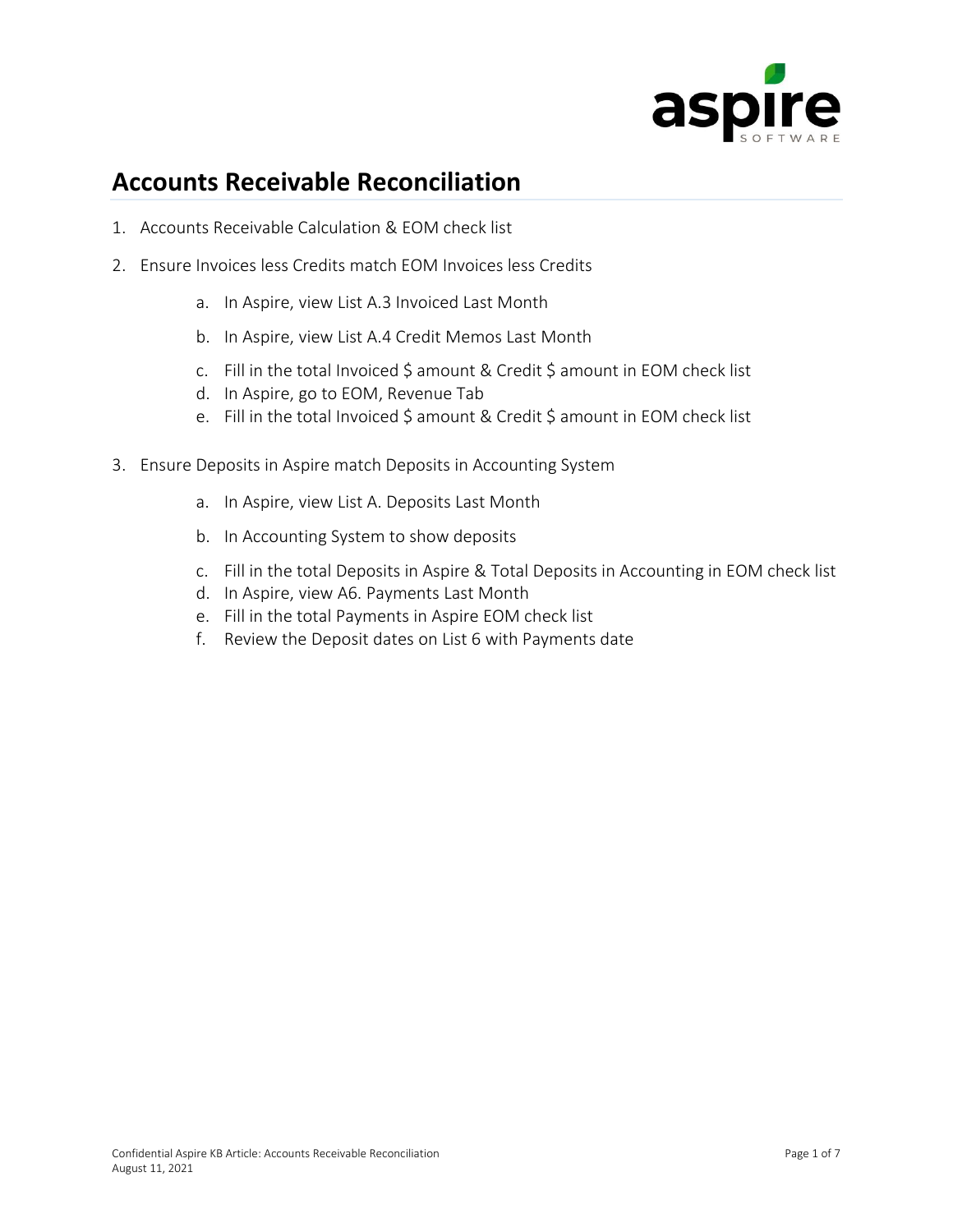

### **Accounts Receivable Reconciliation**

- 1. Accounts Receivable Calculation & EOM check list
- 2. Ensure Invoices less Credits match EOM Invoices less Credits
	- a. In Aspire, view List A.3 Invoiced Last Month
	- b. In Aspire, view List A.4 Credit Memos Last Month
	- c. Fill in the total Invoiced \$ amount & Credit \$ amount in EOM check list
	- d. In Aspire, go to EOM, Revenue Tab
	- e. Fill in the total Invoiced \$ amount & Credit \$ amount in EOM check list
- 3. Ensure Deposits in Aspire match Deposits in Accounting System
	- a. In Aspire, view List A. Deposits Last Month
	- b. In Accounting System to show deposits
	- c. Fill in the total Deposits in Aspire & Total Deposits in Accounting in EOM check list
	- d. In Aspire, view A6. Payments Last Month
	- e. Fill in the total Payments in Aspire EOM check list
	- f. Review the Deposit dates on List 6 with Payments date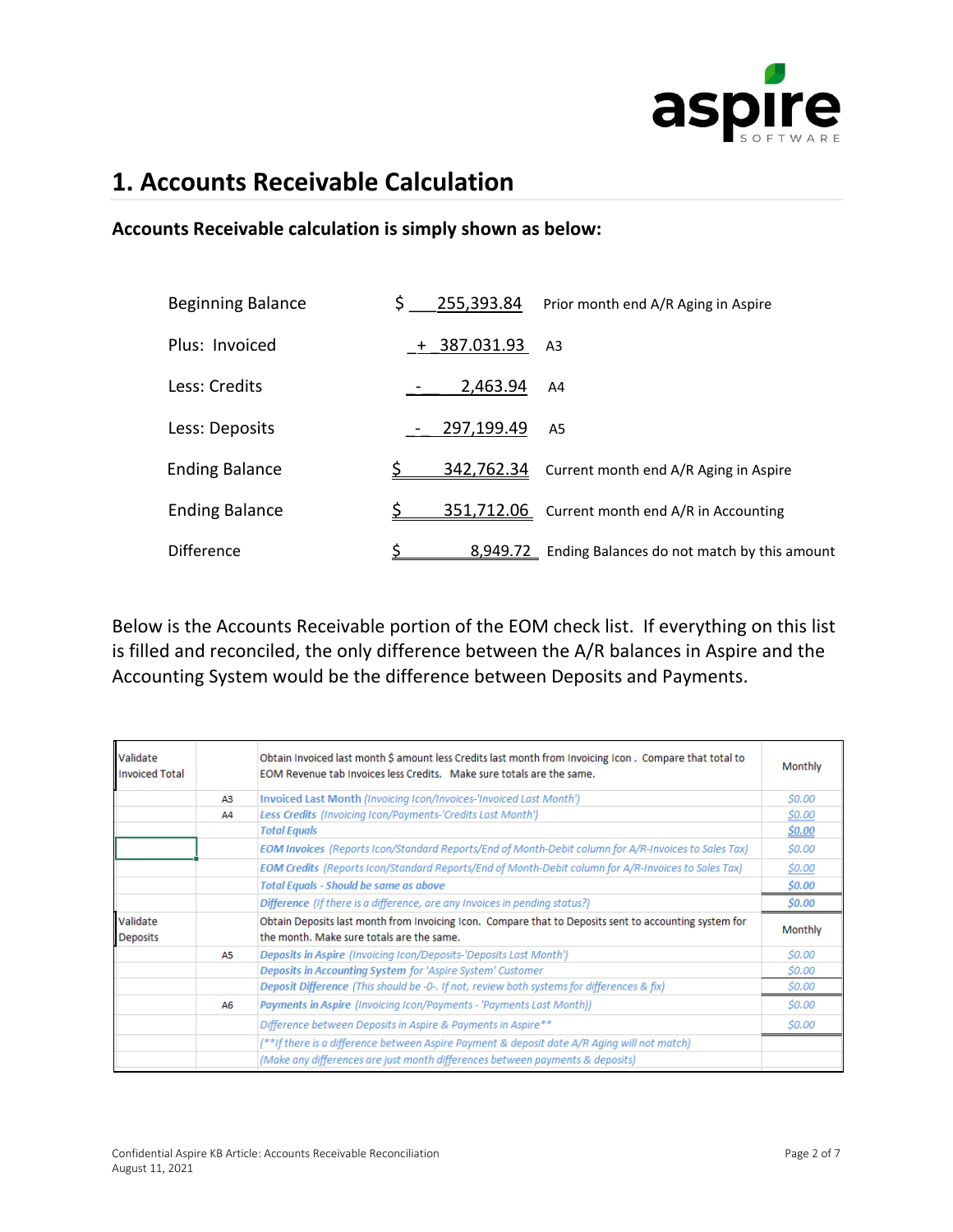

### **1. Accounts Receivable Calculation**

#### **Accounts Receivable calculation is simply shown as below:**

| <b>Beginning Balance</b> | \$  | 255,393.84 | Prior month end A/R Aging in Aspire                  |
|--------------------------|-----|------------|------------------------------------------------------|
| Plus: Invoiced           | $+$ | 387.031.93 | A <sub>3</sub>                                       |
| Less: Credits            |     | 2,463.94   | A4                                                   |
| Less: Deposits           |     | 297,199.49 | A5                                                   |
| <b>Ending Balance</b>    |     | 342,762.34 | Current month end A/R Aging in Aspire                |
| <b>Ending Balance</b>    |     |            | 351,712.06 Current month end A/R in Accounting       |
| <b>Difference</b>        |     |            | 8,949.72 Ending Balances do not match by this amount |

Below is the Accounts Receivable portion of the EOM check list. If everything on this list is filled and reconciled, the only difference between the A/R balances in Aspire and the Accounting System would be the difference between Deposits and Payments.

| Validate<br><b>Invoiced Total</b> |    | Obtain Invoiced last month \$ amount less Credits last month from Invoicing Icon, Compare that total to<br>EOM Revenue tab Invoices less Credits. Make sure totals are the same. | Monthly              |
|-----------------------------------|----|----------------------------------------------------------------------------------------------------------------------------------------------------------------------------------|----------------------|
|                                   | ΑЗ | Invoiced Last Month (Invoicing Icon/Invoices-'Invoiced Last Month')                                                                                                              | <i><b>\$0.00</b></i> |
|                                   | Α4 | Less Credits (Invoicing Icon/Payments-'Credits Last Month')                                                                                                                      | \$0.00               |
|                                   |    | <b>Total Equals</b>                                                                                                                                                              | \$0.00               |
|                                   |    | EOM Invoices (Reports Icon/Standard Reports/End of Month-Debit column for A/R-Invoices to Sales Tax)                                                                             | \$0.00               |
|                                   |    | EOM Credits (Reports Icon/Standard Reports/End of Month-Debit column for A/R-Invoices to Sales Tax)                                                                              | \$0.00               |
|                                   |    | <b>Total Equals - Should be same as above</b>                                                                                                                                    | \$0.00               |
|                                   |    | Difference (If there is a difference, are any Invoices in pending status?)                                                                                                       | \$0.00               |
| Validate<br><b>Deposits</b>       |    | Obtain Deposits last month from Invoicing Icon. Compare that to Deposits sent to accounting system for<br>the month. Make sure totals are the same.                              | Monthly              |
|                                   | A5 | <b>Deposits in Aspire (Invoicing Icon/Deposits-'Deposits Last Month')</b>                                                                                                        | <i><b>\$0.00</b></i> |
|                                   |    | Deposits in Accounting System for 'Aspire System' Customer                                                                                                                       | \$0.00               |
|                                   |    | Deposit Difference (This should be -0-. If not, review both systems for differences & fix)                                                                                       | \$0.00               |
|                                   | A6 | Payments in Aspire (Invoicing Icon/Payments - 'Payments Last Month))                                                                                                             | <i><b>SO.OO</b></i>  |
|                                   |    | Difference between Deposits in Aspire & Payments in Aspire**                                                                                                                     | \$0.00               |
|                                   |    | (**If there is a difference between Aspire Payment & deposit date A/R Aging will not match)                                                                                      |                      |
|                                   |    | (Make any differences are just month differences between payments & deposits)                                                                                                    |                      |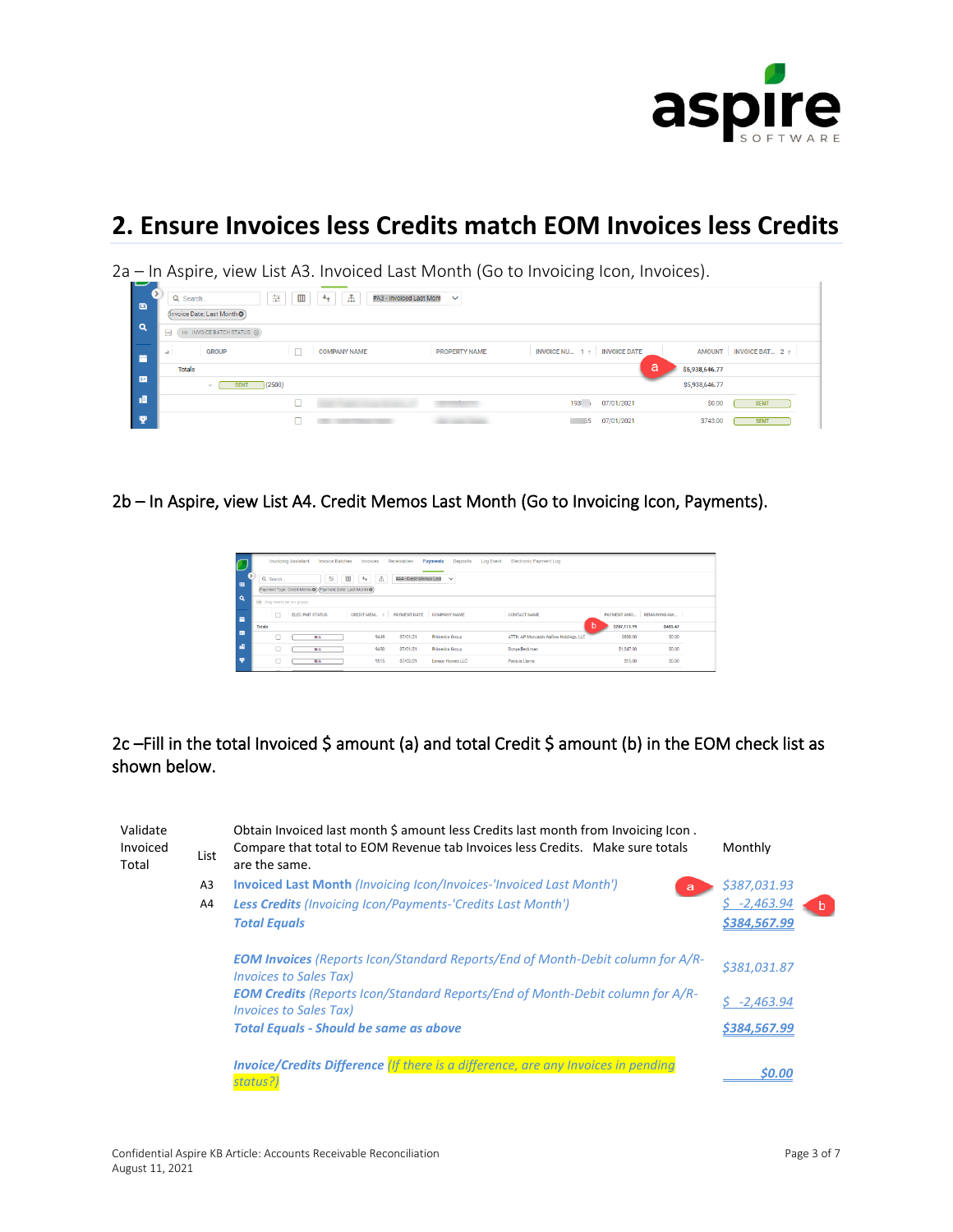

## **2. Ensure Invoices less Credits match EOM Invoices less Credits**

2a – In Aspire, view List A3. Invoiced Last Month (Go to Invoicing Icon, Invoices).

| 一<br>$\bullet$ | Q Search<br>(Invoice Date: Last Month O)  | the control of the control of the<br>一击<br>証<br>$^{\rm{m}}$<br>#A3 - Invoiced Last Mont<br>$\mathbf{a}$ | $\checkmark$         |                                      |                         |
|----------------|-------------------------------------------|---------------------------------------------------------------------------------------------------------|----------------------|--------------------------------------|-------------------------|
| Q              | $III$ INVOICE BATCH STATUS $\otimes$<br>目 |                                                                                                         |                      |                                      |                         |
| 曽              | <b>GROUP</b><br>ᆚ                         | <b>COMPANY NAME</b>                                                                                     | <b>PROPERTY NAME</b> | INVOICE NU $1 \uparrow$ INVOICE DATE | AMOUNT INVOICE BAT 2 1  |
|                | <b>Totals</b>                             |                                                                                                         |                      | a                                    | \$5,938,646.77          |
| 围              | <b>SENT</b><br>$\vee$                     | (2500)                                                                                                  |                      |                                      | \$5,938,646.77          |
| 岨              |                                           |                                                                                                         |                      | 193!<br>07/01/2021                   | \$0.00<br><b>SENT</b>   |
| $\bullet$      |                                           |                                                                                                         |                      | 07/01/2021<br>- 55                   | \$743.00<br><b>SENT</b> |

2b – In Aspire, view List A4. Credit Memos Last Month (Go to Invoicing Icon, Payments).

|                | <b>Invoice Batches</b><br><b>Invoicing Assistant</b>                                                                             | Receivables<br>Invoices                | Payments<br><b>Log Event</b><br>Deposits | <b>Electronic Payment Log</b>          |                          |          |
|----------------|----------------------------------------------------------------------------------------------------------------------------------|----------------------------------------|------------------------------------------|----------------------------------------|--------------------------|----------|
| $\blacksquare$ | $\Box$<br>毎<br>$\left\lceil -4\frac{1}{4}\right\rceil$<br>Q Search<br>(Payment Type: Credit Memo O) (Payment Date: Last Month O) | 孟<br>#A4 - Credit Memos Last           | $\checkmark$                             |                                        |                          |          |
| $\alpha$       | [m] Drag here to set row groups                                                                                                  |                                        |                                          |                                        |                          |          |
| ⋍              | $\Box$<br><b>ELEC PMT STATUS</b>                                                                                                 | CREDIT MEM + PAYMENT DATE COMPANY NAME |                                          | <b>CONTACT NAME</b>                    | PAYMENT AMO REMAINING AM |          |
|                | Totals                                                                                                                           |                                        |                                          | b                                      | \$207.113.99             | \$485.47 |
| 画              | N/A                                                                                                                              | 9449<br>07/01/21                       | Primerica Group                          | ATTN: AP Moccasin Wallow Holdings, LLC | \$808.00                 | \$0.00   |
| æ              | O<br>N/A                                                                                                                         | 9450<br>07/01/21                       | Primerica Group                          | Donya Beckman                          | \$1,047.00               | \$0.00   |
| ÷              | O<br>N/A                                                                                                                         | 9515<br>07/02/21                       | Lernar Homes LLC                         | Patricia Llama                         | \$15.00                  | \$0.00   |
|                |                                                                                                                                  |                                        |                                          |                                        |                          |          |

### 2c -Fill in the total Invoiced \$ amount (a) and total Credit \$ amount (b) in the EOM check list as shown below.

| Validate<br>Invoiced<br>Total | List           | Obtain Invoiced last month \$ amount less Credits last month from Invoicing Icon.<br>Compare that total to EOM Revenue tab Invoices less Credits. Make sure totals<br>are the same. | Monthly                     |
|-------------------------------|----------------|-------------------------------------------------------------------------------------------------------------------------------------------------------------------------------------|-----------------------------|
|                               | A <sub>3</sub> | <b>Invoiced Last Month (Invoicing Icon/Invoices-'Invoiced Last Month')</b><br>a                                                                                                     | \$387,031.93                |
|                               | A4             | <b>Less Credits</b> (Invoicing Icon/Payments-'Credits Last Month')<br><b>Total Equals</b>                                                                                           | $-2,463.94$<br>\$384,567.99 |
|                               |                | <b>EOM Invoices</b> (Reports Icon/Standard Reports/End of Month-Debit column for A/R-<br><b>Invoices to Sales Tax)</b>                                                              | \$381,031.87                |
|                               |                | <b>EOM Credits</b> (Reports Icon/Standard Reports/End of Month-Debit column for A/R-<br><b>Invoices to Sales Tax)</b>                                                               | $-2,463.94$                 |
|                               |                | <b>Total Equals - Should be same as above</b>                                                                                                                                       | \$384,567.99                |
|                               |                | <b>Invoice/Credits Difference (If there is a difference, are any Invoices in pending</b><br>status?)                                                                                | \$0.00                      |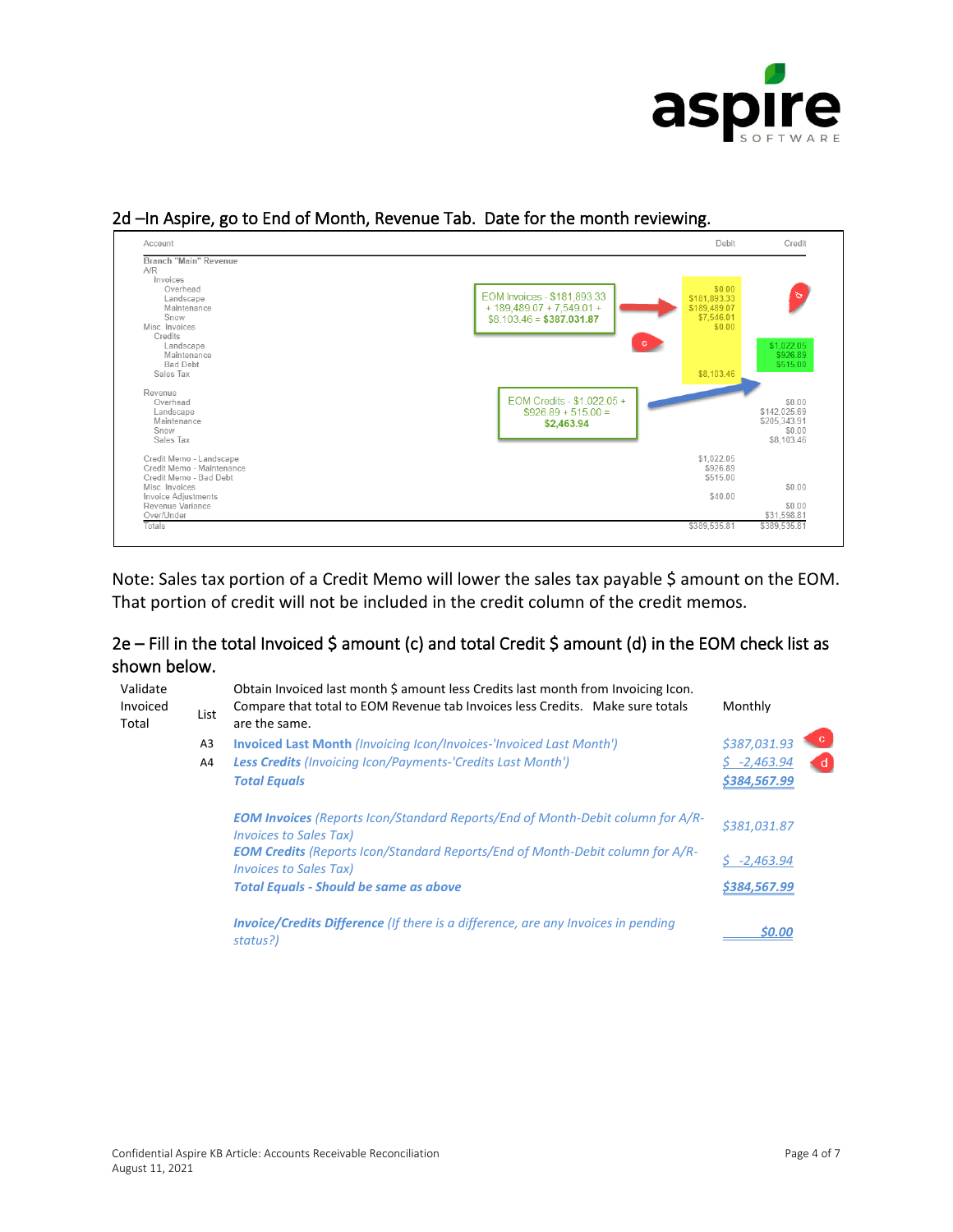



#### 2d –In Aspire, go to End of Month, Revenue Tab. Date for the month reviewing.

Note: Sales tax portion of a Credit Memo will lower the sales tax payable \$ amount on the EOM. That portion of credit will not be included in the credit column of the credit memos.

#### 2e – Fill in the total Invoiced \$ amount (c) and total Credit \$ amount (d) in the EOM check list as shown below.

| Validate<br>Invoiced<br>Total | List | Obtain Invoiced last month \$ amount less Credits last month from Invoicing Icon.<br>Compare that total to EOM Revenue tab Invoices less Credits. Make sure totals<br>are the same. | Monthly      |
|-------------------------------|------|-------------------------------------------------------------------------------------------------------------------------------------------------------------------------------------|--------------|
|                               | A3   | <b>Invoiced Last Month (Invoicing Icon/Invoices-'Invoiced Last Month')</b>                                                                                                          | \$387,031.93 |
|                               | A4   | <b>Less Credits</b> (Invoicing Icon/Payments-'Credits Last Month')                                                                                                                  | $$-2,463.94$ |
|                               |      | <b>Total Equals</b>                                                                                                                                                                 | \$384,567.99 |
|                               |      | <b>EOM Invoices</b> (Reports Icon/Standard Reports/End of Month-Debit column for A/R-<br><b>Invoices to Sales Tax)</b>                                                              | \$381.031.87 |
|                               |      | <b>EOM Credits</b> (Reports Icon/Standard Reports/End of Month-Debit column for A/R-<br><b>Invoices to Sales Tax)</b>                                                               | $-2,463.94$  |
|                               |      | <b>Total Equals - Should be same as above</b>                                                                                                                                       | \$384,567.99 |
|                               |      | <b>Invoice/Credits Difference</b> (If there is a difference, are any Invoices in pending<br>status?)                                                                                | \$0.00       |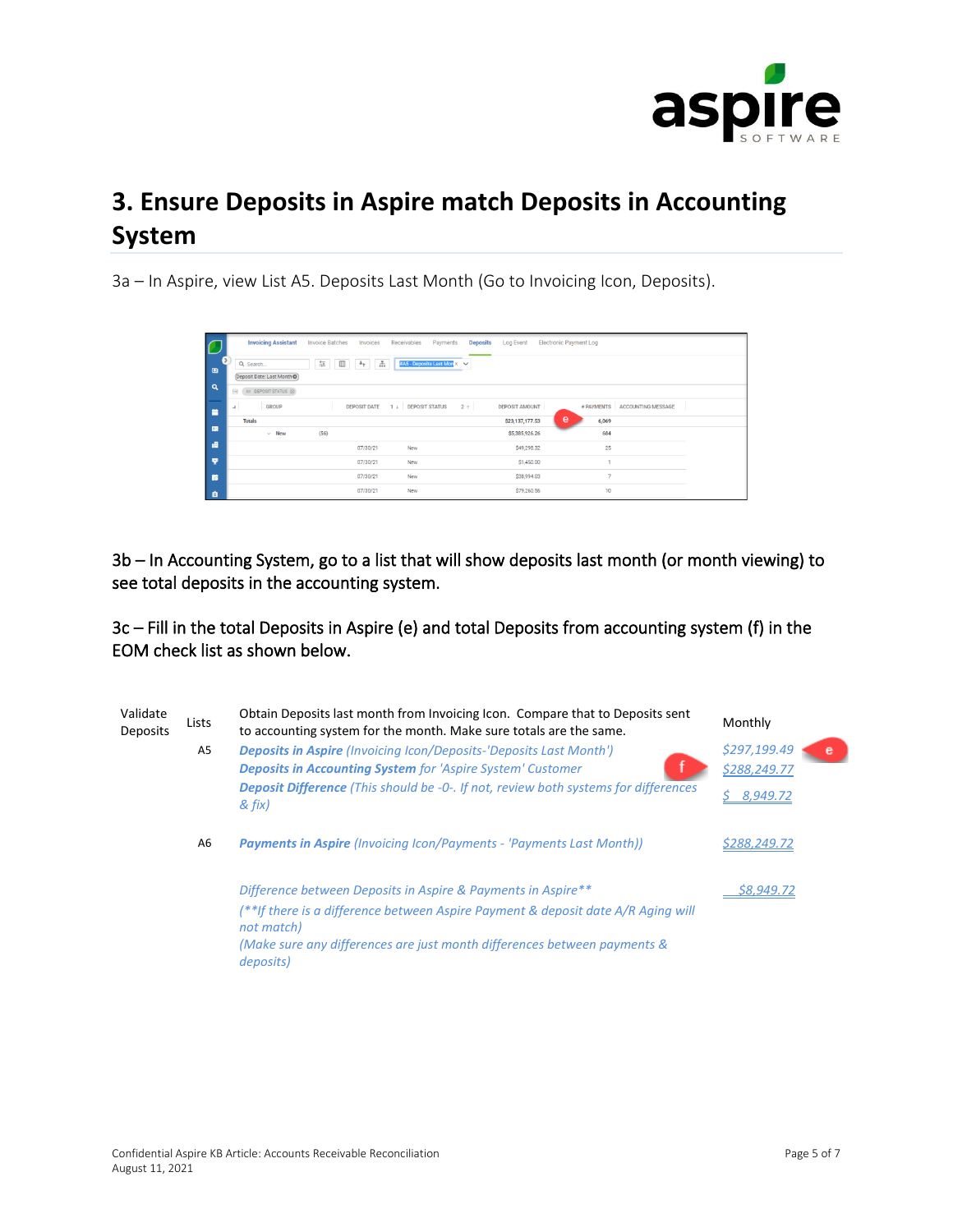

# **3. Ensure Deposits in Aspire match Deposits in Accounting System**

3a – In Aspire, view List A5. Deposits Last Month (Go to Invoicing Icon, Deposits).

| C        | <b>Invoicing Assistant</b>                                               | <b>Invoice Batches</b><br>Invoices         | Receivables<br>Payments          | <b>Deposits</b> | <b>Log Event</b>      | <b>Electronic Payment Log</b> |                               |  |
|----------|--------------------------------------------------------------------------|--------------------------------------------|----------------------------------|-----------------|-----------------------|-------------------------------|-------------------------------|--|
| ு        | Q Search<br>Deposit Date: Last Month O                                   | Æ,<br>華<br>$^{\rm m}$<br>$\ast_{\uparrow}$ | #A5 - Deposits Last Mon X $\vee$ |                 |                       |                               |                               |  |
| $\alpha$ | III DEPOSIT STATUS @<br>$\qquad \qquad \qquad \qquad \qquad \qquad \Box$ |                                            |                                  |                 |                       |                               |                               |  |
| <b>F</b> | <b>GROUP</b><br>$\mathbf{r}$                                             | <b>DEPOSIT DATE</b>                        | $1 \downarrow$ DEPOSIT STATUS    | $2 +$           | <b>DEPOSIT AMOUNT</b> |                               | # PAYMENTS ACCOUNTING MESSAGE |  |
|          | <b>Totals</b>                                                            |                                            |                                  |                 | \$23,137,177.53       | e<br>6,069                    |                               |  |
| 国        | $~\vee~$ New                                                             | (56)                                       |                                  |                 | \$5,385,926.26        | 684                           |                               |  |
| - all    |                                                                          | 07/30/21                                   | New                              |                 | \$49,298.32           | 25                            |                               |  |
| <b>Q</b> |                                                                          | 07/30/21                                   | New                              |                 | \$1,450.00            |                               |                               |  |
| <b>B</b> |                                                                          | 07/30/21                                   | New                              |                 | \$38,994.03           | $\overline{7}$                |                               |  |
| <b>e</b> |                                                                          | 07/30/21                                   | New                              |                 | \$79,260.56           | 10                            |                               |  |

3b – In Accounting System, go to a list that will show deposits last month (or month viewing) to see total deposits in the accounting system.

3c – Fill in the total Deposits in Aspire (e) and total Deposits from accounting system (f) in the EOM check list as shown below.

| Validate<br><b>Deposits</b> | Lists | Obtain Deposits last month from Invoicing Icon. Compare that to Deposits sent<br>to accounting system for the month. Make sure totals are the same. | Monthly                           |
|-----------------------------|-------|-----------------------------------------------------------------------------------------------------------------------------------------------------|-----------------------------------|
|                             | A5    | <b>Deposits in Aspire</b> (Invoicing Icon/Deposits-'Deposits Last Month')<br><b>Deposits in Accounting System for 'Aspire System' Customer</b>      | \$297,199.49<br>e<br>\$288,249.77 |
|                             |       | <b>Deposit Difference</b> (This should be -0-. If not, review both systems for differences<br>& fix)                                                | 8,949.72                          |
|                             | A6    | <b>Payments in Aspire</b> (Invoicing Icon/Payments - 'Payments Last Month))                                                                         | \$288,249.72                      |
|                             |       | Difference between Deposits in Aspire & Payments in Aspire**                                                                                        | \$8,949.72                        |
|                             |       | (**If there is a difference between Aspire Payment & deposit date A/R Aging will<br>not match)                                                      |                                   |
|                             |       | (Make sure any differences are just month differences between payments &<br>deposits)                                                               |                                   |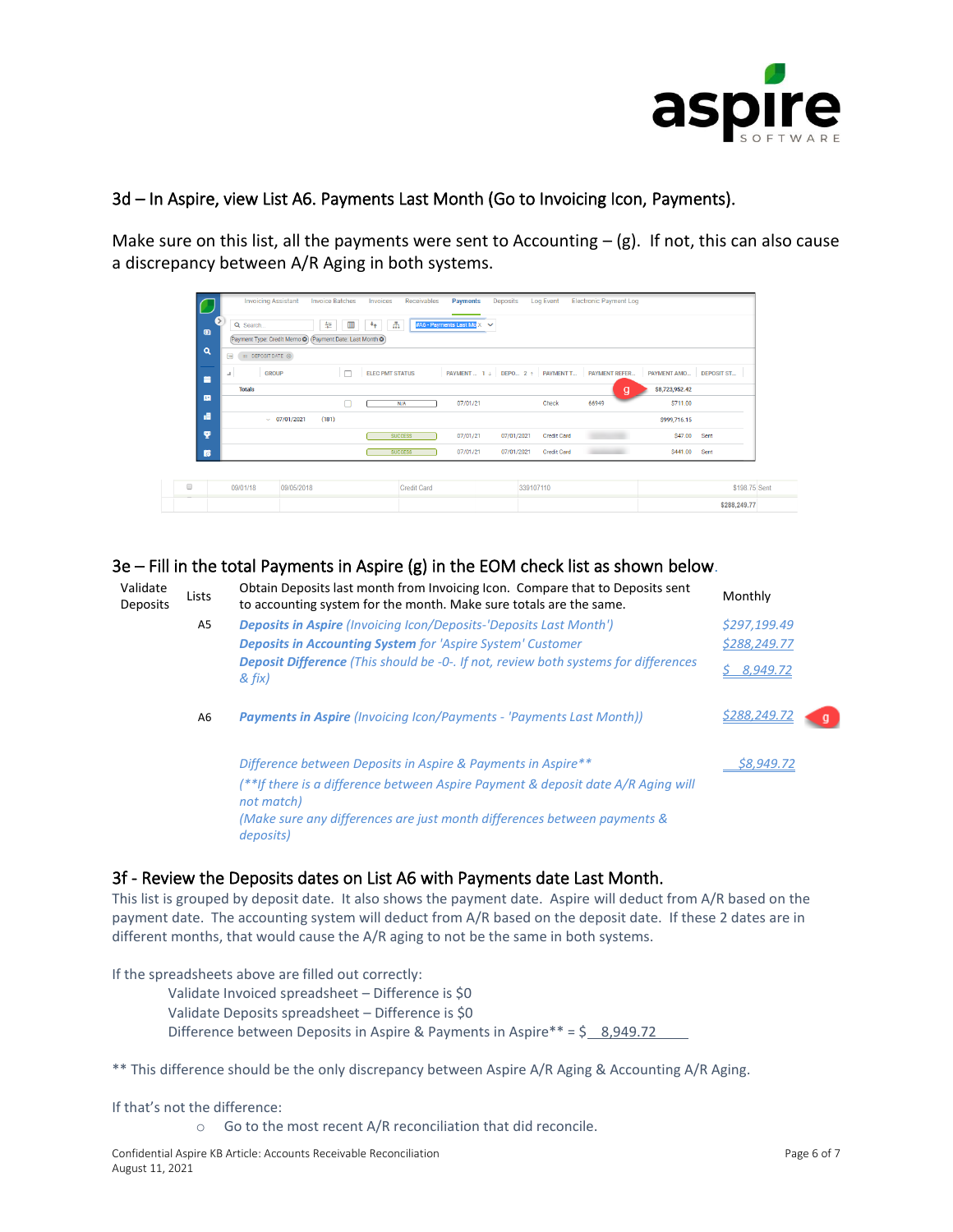

#### 3d – In Aspire, view List A6. Payments Last Month (Go to Invoicing Icon, Payments).

Make sure on this list, all the payments were sent to Accounting  $-$  (g). If not, this can also cause a discrepancy between A/R Aging in both systems.

| $\bullet$ | Q Search<br>(Payment Type: Credit Memo @) (Payment Date: Last Month @) |                   | 華<br>$\blacksquare$ | Æ<br>$+$               |                    | #A6 - Payments Last Mo X $\vee$ |                               |                    |                      |                        |               |
|-----------|------------------------------------------------------------------------|-------------------|---------------------|------------------------|--------------------|---------------------------------|-------------------------------|--------------------|----------------------|------------------------|---------------|
| $\alpha$  | III DEPOSIT DATE @<br>目                                                |                   |                     |                        |                    |                                 |                               |                    |                      |                        |               |
| 晉         | <b>GROUP</b><br>$\Delta$                                               |                   | $\Box$              | <b>ELEC PMT STATUS</b> |                    |                                 | PAYMENT 1 J DEPO 2 1 PAYMENTT |                    | <b>PAYMENT REFER</b> | PAYMENT AMO DEPOSIT ST |               |
|           | <b>Totals</b>                                                          |                   |                     |                        |                    |                                 |                               |                    | g                    | \$8,723,952.42         |               |
| 围         |                                                                        |                   | Π                   |                        | N/A                | 07/01/21                        |                               | Check              | 66949                | \$711.00               |               |
| 画         |                                                                        | $\sim$ 07/01/2021 | (181)               |                        |                    |                                 |                               |                    |                      | S999,716.15            |               |
| v,        |                                                                        |                   |                     |                        | <b>SUCCESS</b>     | 07/01/21                        | 07/01/2021                    | <b>Credit Card</b> |                      | \$47.00                | Sent          |
| 窩         |                                                                        |                   |                     |                        | <b>SUCCESS</b>     | 07/01/21                        | 07/01/2021                    | <b>Credit Card</b> |                      | \$441.00               | Sent          |
|           |                                                                        |                   |                     |                        |                    |                                 |                               |                    |                      |                        |               |
|           | 09/01/18                                                               | 09/05/2018        |                     |                        | <b>Credit Card</b> |                                 | 339107110                     |                    |                      |                        | \$198.75 Sent |

#### 3e – Fill in the total Payments in Aspire (g) in the EOM check list as shown below.

| Validate<br><b>Deposits</b> | Lists          | Obtain Deposits last month from Invoicing Icon. Compare that to Deposits sent<br>to accounting system for the month. Make sure totals are the same. | Monthly      |
|-----------------------------|----------------|-----------------------------------------------------------------------------------------------------------------------------------------------------|--------------|
|                             | A <sub>5</sub> | <b>Deposits in Aspire</b> (Invoicing Icon/Deposits-'Deposits Last Month')                                                                           | \$297,199.49 |
|                             |                | <b>Deposits in Accounting System</b> for 'Aspire System' Customer                                                                                   | \$288,249.77 |
|                             |                | <b>Deposit Difference</b> (This should be -0-. If not, review both systems for differences<br>& fix)                                                | 8,949.72     |
|                             | A6             | <b>Payments in Aspire</b> (Invoicing Icon/Payments - 'Payments Last Month))                                                                         | \$288,249.72 |
|                             |                | Difference between Deposits in Aspire & Payments in Aspire**                                                                                        | \$8,949.72   |
|                             |                | (**If there is a difference between Aspire Payment & deposit date A/R Aging will<br>not match)                                                      |              |
|                             |                | (Make sure any differences are just month differences between payments &<br>deposits)                                                               |              |

#### 3f - Review the Deposits dates on List A6 with Payments date Last Month.

This list is grouped by deposit date. It also shows the payment date. Aspire will deduct from A/R based on the payment date. The accounting system will deduct from A/R based on the deposit date. If these 2 dates are in different months, that would cause the A/R aging to not be the same in both systems.

If the spreadsheets above are filled out correctly:

- Validate Invoiced spreadsheet Difference is \$0 Validate Deposits spreadsheet – Difference is \$0 Difference between Deposits in Aspire & Payments in Aspire\*\* =  $\frac{26}{5}$  8,949.72
- \*\* This difference should be the only discrepancy between Aspire A/R Aging & Accounting A/R Aging.

If that's not the difference:

o Go to the most recent A/R reconciliation that did reconcile.